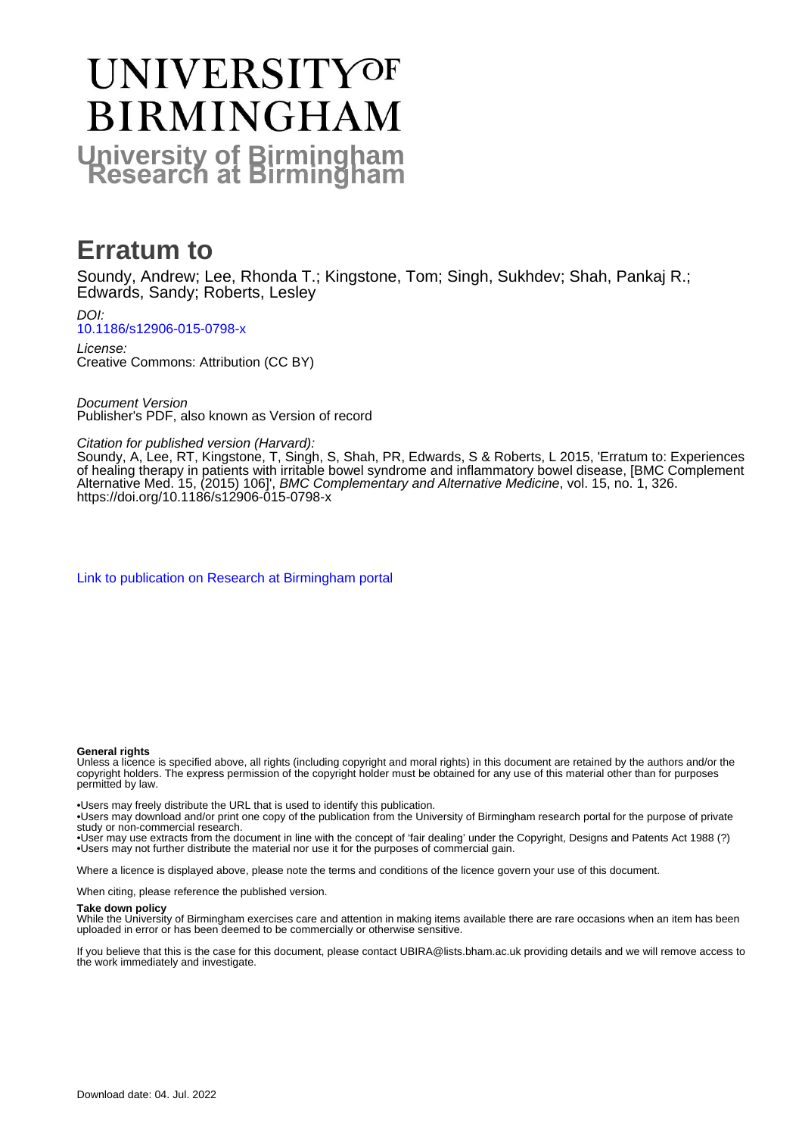# **UNIVERSITYOF BIRMINGHAM University of Birmingham**

### **Erratum to**

Soundy, Andrew; Lee, Rhonda T.; Kingstone, Tom; Singh, Sukhdev; Shah, Pankaj R.; Edwards, Sandy; Roberts, Lesley

DOI: [10.1186/s12906-015-0798-x](https://doi.org/10.1186/s12906-015-0798-x)

License: Creative Commons: Attribution (CC BY)

Document Version Publisher's PDF, also known as Version of record

Citation for published version (Harvard):

Soundy, A, Lee, RT, Kingstone, T, Singh, S, Shah, PR, Edwards, S & Roberts, L 2015, 'Erratum to: Experiences of healing therapy in patients with irritable bowel syndrome and inflammatory bowel disease, [BMC Complement Alternative Med. 15, (2015) 106]', BMC Complementary and Alternative Medicine, vol. 15, no. 1, 326. <https://doi.org/10.1186/s12906-015-0798-x>

[Link to publication on Research at Birmingham portal](https://birmingham.elsevierpure.com/en/publications/ae5dd8f7-ee69-4a72-86ea-49952509ee2b)

### **General rights**

Unless a licence is specified above, all rights (including copyright and moral rights) in this document are retained by the authors and/or the copyright holders. The express permission of the copyright holder must be obtained for any use of this material other than for purposes permitted by law.

• Users may freely distribute the URL that is used to identify this publication.

• Users may download and/or print one copy of the publication from the University of Birmingham research portal for the purpose of private study or non-commercial research.

• User may use extracts from the document in line with the concept of 'fair dealing' under the Copyright, Designs and Patents Act 1988 (?) • Users may not further distribute the material nor use it for the purposes of commercial gain.

Where a licence is displayed above, please note the terms and conditions of the licence govern your use of this document.

When citing, please reference the published version.

### **Take down policy**

While the University of Birmingham exercises care and attention in making items available there are rare occasions when an item has been uploaded in error or has been deemed to be commercially or otherwise sensitive.

If you believe that this is the case for this document, please contact UBIRA@lists.bham.ac.uk providing details and we will remove access to the work immediately and investigate.